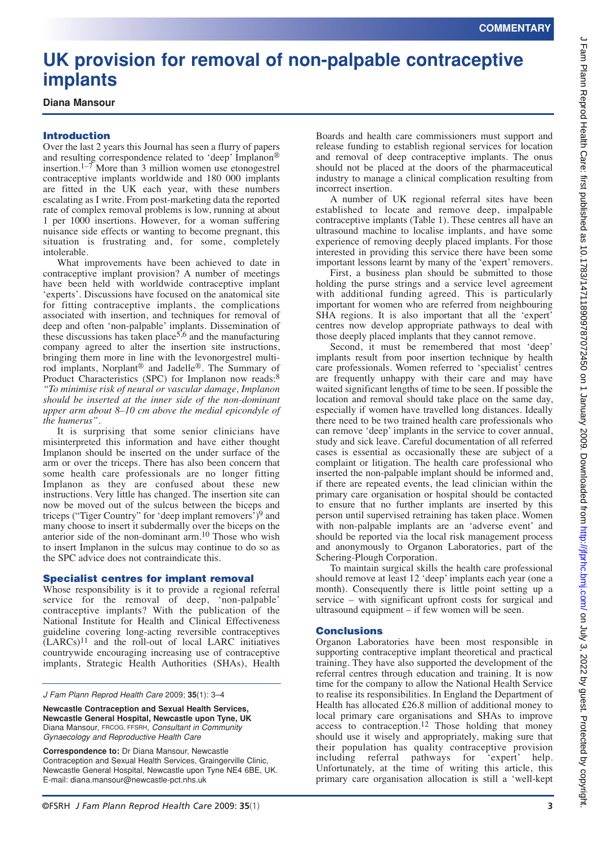# **UK provision for removal of non-palpable contraceptive implants**

**Diana Mansour**

# **Introduction**

Over the last 2 years this Journal has seen a flurry of papers and resulting correspondence related to 'deep' Implanon ® insertion.<sup>1–7</sup> More than 3 million women use etonogestrel contraceptive implants worldwide and 180 000 implants are fitted in the UK each year, with these numbers escalating as I write. From post-marketing data the reported rate of complex removal problems is low, running at about 1 per 1000 insertions. However, for a woman suffering nuisance side effects or wanting to become pregnant, this situation is frustrating and, for some, completely intolerable.

What improvements have been achieved to date in contraceptive implant provision? A number of meetings have been held with worldwide contraceptive implant 'experts'. Discussions have focused on the anatomical site for fitting contraceptive implants, the complications associated with insertion, and techniques for removal of deep and often 'non-palpable' implants. Dissemination of these discussions has taken place<sup>5,6</sup> and the manufacturing company agreed to alter the insertion site instructions, bringing them more in line with the levonorgestrel multirod implants, Norplant® and Jadelle®. The Summary of Product Characteristics (SPC) for Implanon now reads:8 *"To minimise risk of neural or vascular damage, Implanon should be inserted at the inner side of the non-dominant upper arm about 8–10 cm above the medial epicondyle of the humerus"* .

It is surprising that some senior clinicians have misinterpreted this information and have either thought Implanon should be inserted on the under surface of the arm or over the triceps. There has also been concern that some health care professionals are no longer fitting Implanon as they are confused about these new instructions. Very little has changed. The insertion site can now be moved out of the sulcus between the biceps and triceps ("Tiger Country" for 'deep implant removers') 9 and many choose to insert it subdermally over the biceps on the anterior side of the non-dominant arm.10 Those who wish to insert Implanon in the sulcus may continue to do so as the SPC advice does not contraindicate this.

# **Specialist centres for implant removal**

Whose responsibility is it to provide a regional referral service for the removal of deep, 'non-palpable' contraceptive implants? With the publication of the National Institute for Health and Clinical Effectiveness guideline covering long-acting reversible contraceptives (LARCs)11 and the roll-out of local LARC initiatives countrywide encouraging increasing use of contraceptive implants, Strategic Health Authorities (SHAs), Health

*J Fam Plann Reprod Health Care* 2009; **35**(1): 3–4

**Newcastle Contraception and Sexual Health Services, Newcastle General Hospital, Newcastle upon Tyne, UK** Diana Mansour, FRCOG, FFSRH, *Consultant in Community Gynaecology and Reproductive Health Care*

**Correspondence to:** Dr Diana Mansour, Newcastle Contraception and Sexual Health Services, Graingerville Clinic, Newcastle General Hospital, Newcastle upon Tyne NE4 6BE, UK. E-mail: diana.mansour@newcastle-pct.nhs.uk

Boards and health care commissioners must support and release funding to establish regional services for location and removal of deep contraceptive implants. The onus should not be placed at the doors of the pharmaceutical industry to manage a clinical complication resulting from incorrect insertion.

A number of UK regional referral sites have been established to locate and remove deep, impalpable contraceptive implants (Table 1). These centres all have an ultrasound machine to localise implants, and have some experience of removing deeply placed implants. For those interested in providing this service there have been some important lessons learnt by many of the 'expert' removers.

First, a business plan should be submitted to those holding the purse strings and a service level agreement with additional funding agreed. This is particularly important for women who are referred from neighbouring SHA regions. It is also important that all the 'expert' centres now develop appropriate pathways to deal with those deeply placed implants that they cannot remove.

Second, it must be remembered that most 'deep' implants result from poor insertion technique by health care professionals. Women referred to 'specialist' centres are frequently unhappy with their care and may have waited significant lengths of time to be seen. If possible the location and removal should take place on the same day, especially if women have travelled long distances. Ideally there need to be two trained health care professionals who can remove 'deep' implants in the service to cover annual, study and sick leave. Careful documentation of all referred cases is essential as occasionally these are subject of a complaint or litigation. The health care professional who inserted the non-palpable implant should be informed and, if there are repeated events, the lead clinician within the primary care organisation or hospital should be contacted to ensure that no further implants are inserted by this person until supervised retraining has taken place. Women with non-palpable implants are an 'adverse event' and should be reported via the local risk management process and anonymously to Organon Laboratories, part of the Schering-Plough Corporation.

To maintain surgical skills the health care professional should remove at least 12 'deep' implants each year (one a month). Consequently there is little point setting up a service – with significant upfront costs for surgical and ultrasound equipment – if few women will be seen.

# **Conclusions**

Organon Laboratories have been most responsible in supporting contraceptive implant theoretical and practical training. They have also supported the development of the referral centres through education and training. It is now time for the company to allow the National Health Service to realise its responsibilities. In England the Department of Health has allocated £26.8 million of additional money to local primary care organisations and SHAs to improve  $\frac{12}{12}$  Those holding that money should use it wisely and appropriately, making sure that their population has quality contraceptive provision including referral pathways for 'expert' help. Unfortunately, at the time of writing this article, this primary care organisation allocation is still a 'well-kept